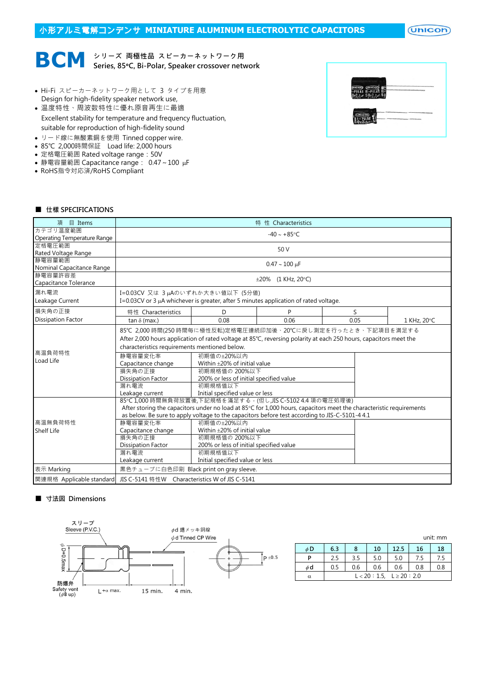# 小形アルミ電解コンデンサ **MINIATURE ALUMINUM ELECTROLYTIC CAPACITORS**

 $($ Unicon $)$ 



- Hi-Fi スピーカーネットワーク用として 3 タイプを用意 Design for high-fidelity speaker network use,
- 温度特性、周波数特性に優れ原音再生に最適 Excellent stability for temperature and frequency fluctuation, suitable for reproduction of high-fidelity sound
- リード線に無酸素銅を使用 Tinned copper wire.
- 85℃ 2,000時間保証 Load life: 2,000 hours
- 定格電圧範囲 Rated voltage range:50V
- 静電容量範囲 Capacitance range: 0.47~100 µF
- RoHS指令対応済/RoHS Compliant



### ■ 仕樣 SPECIFICATIONS

| 目 Items<br>項                | 特性 Characteristics                                                                                                  |                                         |      |      |             |  |  |
|-----------------------------|---------------------------------------------------------------------------------------------------------------------|-----------------------------------------|------|------|-------------|--|--|
| カテゴリ温度範囲                    | $-40 - +85$ °C                                                                                                      |                                         |      |      |             |  |  |
| Operating Temperature Range |                                                                                                                     |                                         |      |      |             |  |  |
| 定格電圧範囲                      | 50 V                                                                                                                |                                         |      |      |             |  |  |
| Rated Voltage Range         |                                                                                                                     |                                         |      |      |             |  |  |
| 静電容量範囲                      | $0.47 \sim 100 \text{ µF}$                                                                                          |                                         |      |      |             |  |  |
| Nominal Capacitance Range   |                                                                                                                     |                                         |      |      |             |  |  |
| 静電容量許容差                     | $\pm 20\%$ (1 KHz, 20°C)                                                                                            |                                         |      |      |             |  |  |
| Capacitance Tolerance       |                                                                                                                     |                                         |      |      |             |  |  |
| 漏れ電流                        | I=0.03CV 又は 3 µAのいずれか大きい値以下 (5分値)                                                                                   |                                         |      |      |             |  |  |
| Leakage Current             | I=0.03CV or 3 $\mu$ A whichever is greater, after 5 minutes application of rated voltage.                           |                                         |      |      |             |  |  |
| 損失角の正接                      | 特性 Characteristics                                                                                                  | D.                                      | P    | S    |             |  |  |
| <b>Dissipation Factor</b>   | tan $\delta$ (max.)                                                                                                 | 0.08                                    | 0.06 | 0.05 | 1 KHz, 20°C |  |  |
|                             | 85℃ 2,000 時間(250 時間毎に極性反転)定格電圧連続印加後、20℃に戻し測定を行ったとき、下記項目を満足する                                                        |                                         |      |      |             |  |  |
|                             | After 2,000 hours application of rated voltage at 85°C, reversing polarity at each 250 hours, capacitors meet the   |                                         |      |      |             |  |  |
|                             | characteristics requirements mentioned below.                                                                       |                                         |      |      |             |  |  |
| 高温負荷特性<br>Load Life         | 静雷容量変化率<br>初期値の+20%以内                                                                                               |                                         |      |      |             |  |  |
|                             | Capacitance change<br>Within $\pm$ 20% of initial value                                                             |                                         |      |      |             |  |  |
|                             | 損失角の正接                                                                                                              | 初期規格值の 200%以下                           |      |      |             |  |  |
|                             | <b>Dissipation Factor</b>                                                                                           | 200% or less of initial specified value |      |      |             |  |  |
|                             | 漏れ電流                                                                                                                | 初期規格值以下                                 |      |      |             |  |  |
|                             | Leakage current                                                                                                     | Initial specified value or less         |      |      |             |  |  |
|                             | 85℃1,000時間無負荷放置後,下記規格を滿足する。(但し,JIS C-5102 4.4 項の電圧処理後)                                                              |                                         |      |      |             |  |  |
|                             | After storing the capacitors under no load at 85°C for 1,000 hours, capacitors meet the characteristic requirements |                                         |      |      |             |  |  |
|                             | as below. Be sure to apply voltage to the capacitors before test according to JIS-C-5101-4 4.1                      |                                         |      |      |             |  |  |
| 高溫無負荷特性                     | 静電容量変化率                                                                                                             | 初期值の±20%以内                              |      |      |             |  |  |
| <b>Shelf Life</b>           | Capacitance change                                                                                                  | Within $\pm$ 20% of initial value       |      |      |             |  |  |
|                             | 損失角の正接                                                                                                              | 初期規格值の 200%以下                           |      |      |             |  |  |
|                             | <b>Dissipation Factor</b>                                                                                           | 200% or less of initial specified value |      |      |             |  |  |
|                             | 漏れ電流                                                                                                                | 初期規格值以下                                 |      |      |             |  |  |
|                             | Leakage current                                                                                                     | Initial specified value or less         |      |      |             |  |  |
| 表示 Marking                  | 黒色チューブに白色印刷 Black print on gray sleeve.                                                                             |                                         |      |      |             |  |  |
| 関連規格 Applicable standard    | JIS C-5141 特性W Characteristics W of JIS C-5141                                                                      |                                         |      |      |             |  |  |

### ■ 寸法図 Dimensions



|    | unit: mm                       |     |     |      |     |     |
|----|--------------------------------|-----|-----|------|-----|-----|
| φD | 6.3                            | 8   | 10  | 12.5 | 16  | 18  |
| P  | 2.5                            | 3.5 | 5.0 | 5.0  | 7.5 | 7.5 |
| φd | 0.5                            | 0.6 | 0.6 | 0.6  | 0.8 | 0.8 |
| α  | $L < 20 : 1.5, L \ge 20 : 2.0$ |     |     |      |     |     |